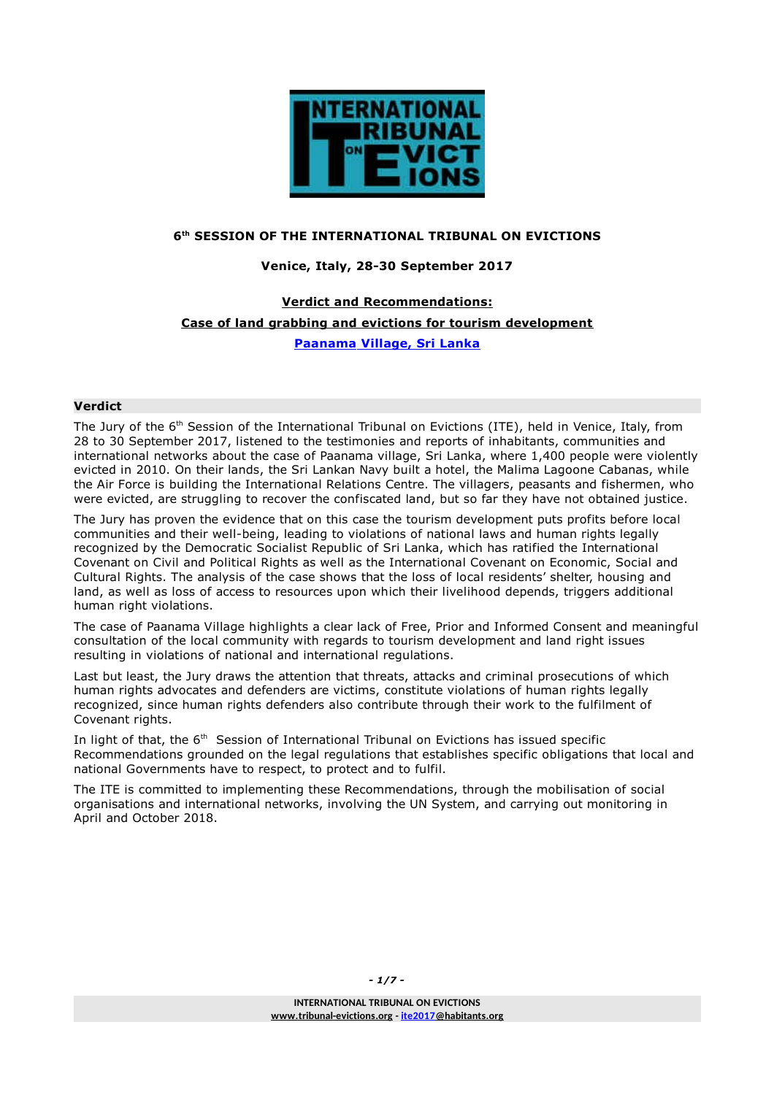

#### **6 th SESSION OF THE INTERNATIONAL TRIBUNAL ON EVICTIONS**

## **Venice, Italy, 28-30 September 2017**

# **Verdict and Recommendations: [Case of land grabbing and evictions for tourism development](https://www.habitants.org/international_tribunal_on_evictions/evictions_cases/6th_session_2017/case_from_sri_lanka_land_grabbing_for_tourism_development_panaama_village)  [Paanama Village, Sri Lanka](https://www.habitants.org/international_tribunal_on_evictions/evictions_cases/6th_session_2017/case_from_sri_lanka_land_grabbing_for_tourism_development_panaama_village)**

#### **Verdict**

The Jury of the 6<sup>th</sup> Session of the International Tribunal on Evictions (ITE), held in Venice, Italy, from 28 to 30 September 2017, listened to the testimonies and reports of inhabitants, communities and international networks about the case of Paanama village, Sri Lanka, where 1,400 people were violently evicted in 2010. On their lands, the Sri Lankan Navy built a hotel, the Malima Lagoone Cabanas, while the Air Force is building the International Relations Centre. The villagers, peasants and fishermen, who were evicted, are struggling to recover the confiscated land, but so far they have not obtained justice.

The Jury has proven the evidence that on this case the tourism development puts profits before local communities and their well-being, leading to violations of national laws and human rights legally recognized by the Democratic Socialist Republic of Sri Lanka, which has ratified the International Covenant on Civil and Political Rights as well as the International Covenant on Economic, Social and Cultural Rights. The analysis of the case shows that the loss of local residents' shelter, housing and land, as well as loss of access to resources upon which their livelihood depends, triggers additional human right violations.

The case of Paanama Village highlights a clear lack of Free, Prior and Informed Consent and meaningful consultation of the local community with regards to tourism development and land right issues resulting in violations of national and international regulations.

Last but least, the Jury draws the attention that threats, attacks and criminal prosecutions of which human rights advocates and defenders are victims, constitute violations of human rights legally recognized, since human rights defenders also contribute through their work to the fulfilment of Covenant rights.

In light of that, the  $6<sup>th</sup>$  Session of International Tribunal on Evictions has issued specific Recommendations grounded on the legal regulations that establishes specific obligations that local and national Governments have to respect, to protect and to fulfil.

The ITE is committed to implementing these Recommendations, through the mobilisation of social organisations and international networks, involving the UN System, and carrying out monitoring in April and October 2018.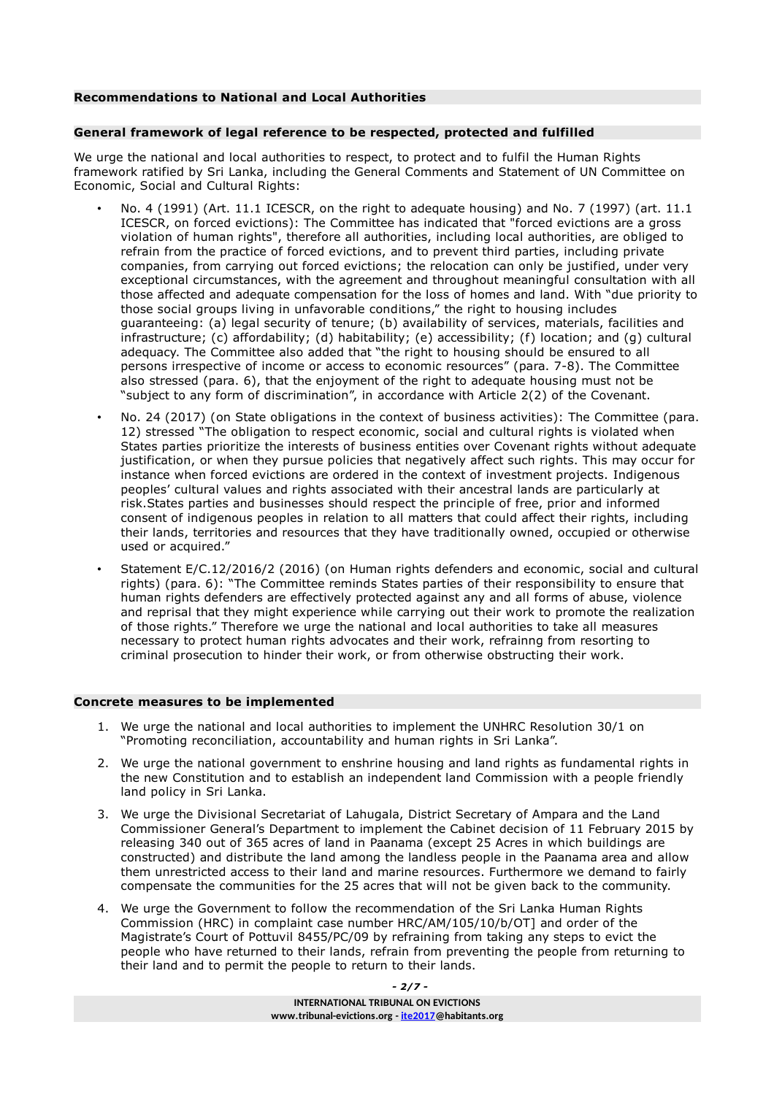#### **Recommendations to National and Local Authorities**

#### **General framework of legal reference to be respected, protected and fulfilled**

We urge the national and local authorities to respect, to protect and to fulfil the Human Rights framework ratified by Sri Lanka, including the General Comments and Statement of UN Committee on Economic, Social and Cultural Rights:

- No. 4 (1991) (Art. 11.1 ICESCR, on the right to adequate housing) and No. 7 (1997) (art. 11.1 ICESCR, on forced evictions): The Committee has indicated that "forced evictions are a gross violation of human rights", therefore all authorities, including local authorities, are obliged to refrain from the practice of forced evictions, and to prevent third parties, including private companies, from carrying out forced evictions; the relocation can only be justified, under very exceptional circumstances, with the agreement and throughout meaningful consultation with all those affected and adequate compensation for the loss of homes and land. With "due priority to those social groups living in unfavorable conditions," the right to housing includes guaranteeing: (a) legal security of tenure; (b) availability of services, materials, facilities and infrastructure; (c) affordability; (d) habitability; (e) accessibility; (f) location; and (g) cultural adequacy. The Committee also added that "the right to housing should be ensured to all persons irrespective of income or access to economic resources" (para. 7-8). The Committee also stressed (para. 6), that the enjoyment of the right to adequate housing must not be "subject to any form of discrimination", in accordance with Article 2(2) of the Covenant.
- No. 24 (2017) (on State obligations in the context of business activities): The Committee (para. 12) stressed "The obligation to respect economic, social and cultural rights is violated when States parties prioritize the interests of business entities over Covenant rights without adequate justification, or when they pursue policies that negatively affect such rights. This may occur for instance when forced evictions are ordered in the context of investment projects. Indigenous peoples' cultural values and rights associated with their ancestral lands are particularly at risk.States parties and businesses should respect the principle of free, prior and informed consent of indigenous peoples in relation to all matters that could affect their rights, including their lands, territories and resources that they have traditionally owned, occupied or otherwise used or acquired."
- Statement E/C.12/2016/2 (2016) (on Human rights defenders and economic, social and cultural rights) (para. 6): "The Committee reminds States parties of their responsibility to ensure that human rights defenders are effectively protected against any and all forms of abuse, violence and reprisal that they might experience while carrying out their work to promote the realization of those rights." Therefore we urge the national and local authorities to take all measures necessary to protect human rights advocates and their work, refrainng from resorting to criminal prosecution to hinder their work, or from otherwise obstructing their work.

#### **Concrete measures to be implemented**

- 1. We urge the national and local authorities to implement the UNHRC Resolution 30/1 on "Promoting reconciliation, accountability and human rights in Sri Lanka".
- 2. We urge the national government to enshrine housing and land rights as fundamental rights in the new Constitution and to establish an independent land Commission with a people friendly land policy in Sri Lanka.
- 3. We urge the Divisional Secretariat of Lahugala, District Secretary of Ampara and the Land Commissioner General's Department to implement the Cabinet decision of 11 February 2015 by releasing 340 out of 365 acres of land in Paanama (except 25 Acres in which buildings are constructed) and distribute the land among the landless people in the Paanama area and allow them unrestricted access to their land and marine resources. Furthermore we demand to fairly compensate the communities for the 25 acres that will not be given back to the community.
- 4. We urge the Government to follow the recommendation of the Sri Lanka Human Rights Commission (HRC) in complaint case number HRC/AM/105/10/b/OT] and order of the Magistrate's Court of Pottuvil 8455/PC/09 by refraining from taking any steps to evict the people who have returned to their lands, refrain from preventing the people from returning to their land and to permit the people to return to their lands.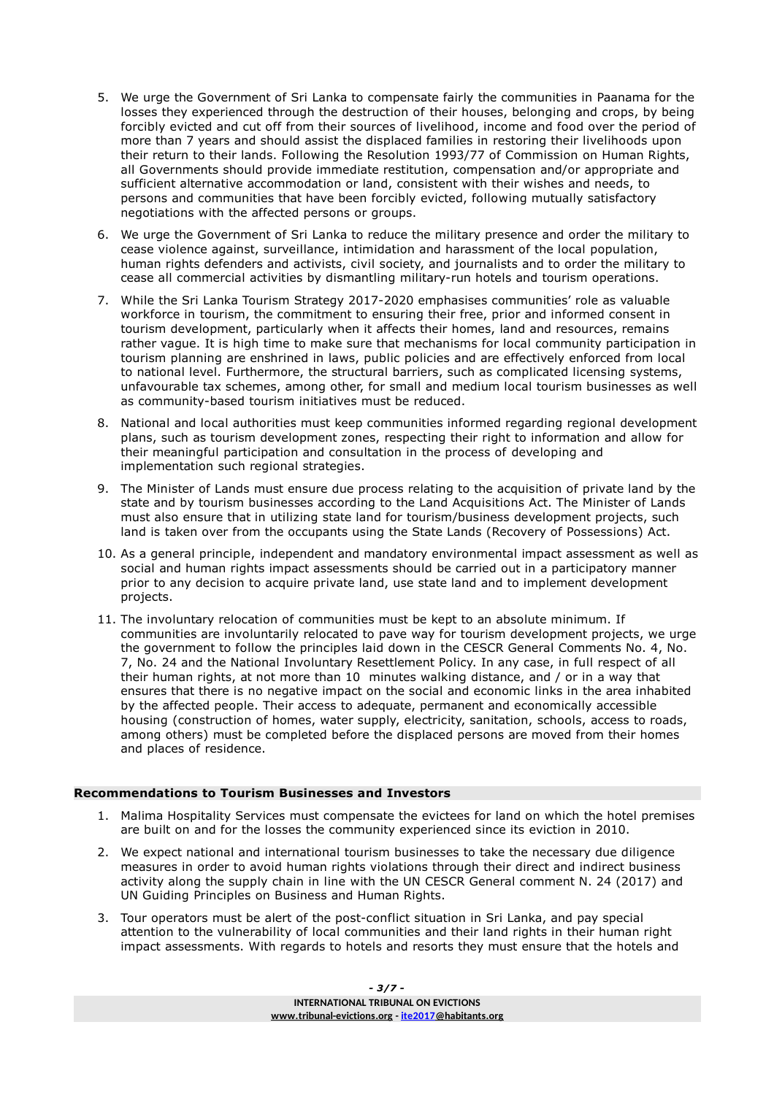- 5. We urge the Government of Sri Lanka to compensate fairly the communities in Paanama for the losses they experienced through the destruction of their houses, belonging and crops, by being forcibly evicted and cut off from their sources of livelihood, income and food over the period of more than 7 years and should assist the displaced families in restoring their livelihoods upon their return to their lands. Following the Resolution 1993/77 of Commission on Human Rights, all Governments should provide immediate restitution, compensation and/or appropriate and sufficient alternative accommodation or land, consistent with their wishes and needs, to persons and communities that have been forcibly evicted, following mutually satisfactory negotiations with the affected persons or groups.
- 6. We urge the Government of Sri Lanka to reduce the military presence and order the military to cease violence against, surveillance, intimidation and harassment of the local population, human rights defenders and activists, civil society, and journalists and to order the military to cease all commercial activities by dismantling military-run hotels and tourism operations.
- 7. While the Sri Lanka Tourism Strategy 2017-2020 emphasises communities' role as valuable workforce in tourism, the commitment to ensuring their free, prior and informed consent in tourism development, particularly when it affects their homes, land and resources, remains rather vague. It is high time to make sure that mechanisms for local community participation in tourism planning are enshrined in laws, public policies and are effectively enforced from local to national level. Furthermore, the structural barriers, such as complicated licensing systems, unfavourable tax schemes, among other, for small and medium local tourism businesses as well as community-based tourism initiatives must be reduced.
- 8. National and local authorities must keep communities informed regarding regional development plans, such as tourism development zones, respecting their right to information and allow for their meaningful participation and consultation in the process of developing and implementation such regional strategies.
- 9. The Minister of Lands must ensure due process relating to the acquisition of private land by the state and by tourism businesses according to the Land Acquisitions Act. The Minister of Lands must also ensure that in utilizing state land for tourism/business development projects, such land is taken over from the occupants using the State Lands (Recovery of Possessions) Act.
- 10. As a general principle, independent and mandatory environmental impact assessment as well as social and human rights impact assessments should be carried out in a participatory manner prior to any decision to acquire private land, use state land and to implement development projects.
- 11. The involuntary relocation of communities must be kept to an absolute minimum. If communities are involuntarily relocated to pave way for tourism development projects, we urge the government to follow the principles laid down in the CESCR General Comments No. 4, No. 7, No. 24 and the National Involuntary Resettlement Policy. In any case, in full respect of all their human rights, at not more than 10 minutes walking distance, and / or in a way that ensures that there is no negative impact on the social and economic links in the area inhabited by the affected people. Their access to adequate, permanent and economically accessible housing (construction of homes, water supply, electricity, sanitation, schools, access to roads, among others) must be completed before the displaced persons are moved from their homes and places of residence.

#### **Recommendations to Tourism Businesses and Investors**

- 1. Malima Hospitality Services must compensate the evictees for land on which the hotel premises are built on and for the losses the community experienced since its eviction in 2010.
- 2. We expect national and international tourism businesses to take the necessary due diligence measures in order to avoid human rights violations through their direct and indirect business activity along the supply chain in line with the UN CESCR General comment N. 24 (2017) and UN Guiding Principles on Business and Human Rights.
- 3. Tour operators must be alert of the post-conflict situation in Sri Lanka, and pay special attention to the vulnerability of local communities and their land rights in their human right impact assessments. With regards to hotels and resorts they must ensure that the hotels and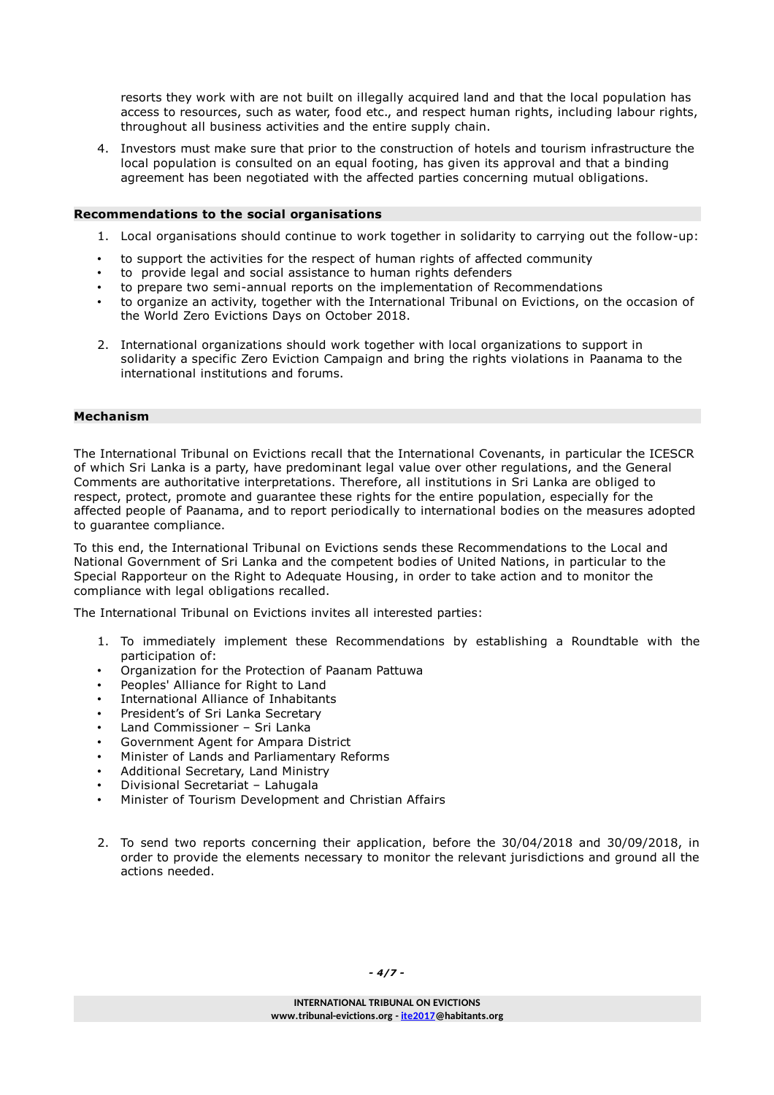resorts they work with are not built on illegally acquired land and that the local population has access to resources, such as water, food etc., and respect human rights, including labour rights, throughout all business activities and the entire supply chain.

4. Investors must make sure that prior to the construction of hotels and tourism infrastructure the local population is consulted on an equal footing, has given its approval and that a binding agreement has been negotiated with the affected parties concerning mutual obligations.

#### **Recommendations to the social organisations**

- 1. Local organisations should continue to work together in solidarity to carrying out the follow-up:
- to support the activities for the respect of human rights of affected community
- to provide legal and social assistance to human rights defenders
- to prepare two semi-annual reports on the implementation of Recommendations
- to organize an activity, together with the International Tribunal on Evictions, on the occasion of the World Zero Evictions Days on October 2018.
- 2. International organizations should work together with local organizations to support in solidarity a specific Zero Eviction Campaign and bring the rights violations in Paanama to the international institutions and forums.

#### **Mechanism**

The International Tribunal on Evictions recall that the International Covenants, in particular the ICESCR of which Sri Lanka is a party, have predominant legal value over other regulations, and the General Comments are authoritative interpretations. Therefore, all institutions in Sri Lanka are obliged to respect, protect, promote and guarantee these rights for the entire population, especially for the affected people of Paanama, and to report periodically to international bodies on the measures adopted to guarantee compliance.

To this end, the International Tribunal on Evictions sends these Recommendations to the Local and National Government of Sri Lanka and the competent bodies of United Nations, in particular to the Special Rapporteur on the Right to Adequate Housing, in order to take action and to monitor the compliance with legal obligations recalled.

The International Tribunal on Evictions invites all interested parties:

- 1. To immediately implement these Recommendations by establishing a Roundtable with the participation of:
- Organization for the Protection of Paanam Pattuwa
- Peoples' Alliance for Right to Land
- International Alliance of Inhabitants
- President's of Sri Lanka Secretary
- Land Commissioner Sri Lanka
- Government Agent for Ampara District
- Minister of Lands and Parliamentary Reforms
- Additional Secretary, Land Ministry
- Divisional Secretariat Lahugala
- Minister of Tourism Development and Christian Affairs
- 2. To send two reports concerning their application, before the 30/04/2018 and 30/09/2018, in order to provide the elements necessary to monitor the relevant jurisdictions and ground all the actions needed.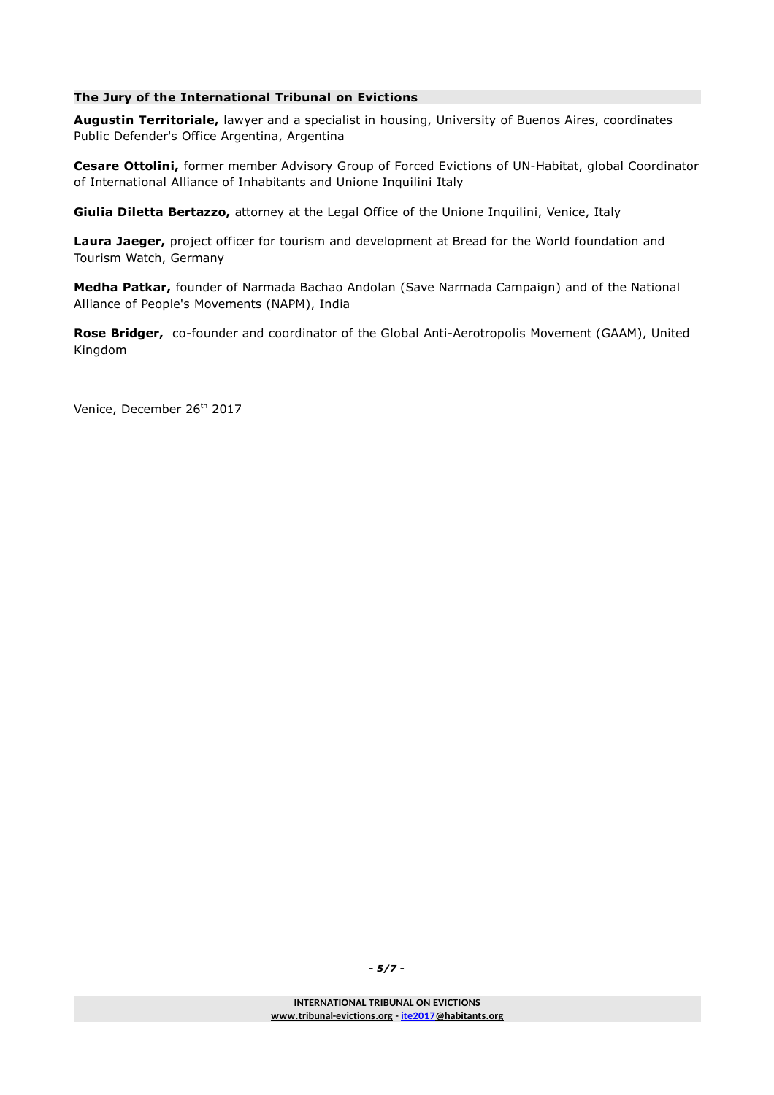## **The Jury of the International Tribunal on Evictions**

**Augustin Territoriale,** lawyer and a specialist in housing, University of Buenos Aires, coordinates Public Defender's Office Argentina, Argentina

**Cesare Ottolini,** former member Advisory Group of Forced Evictions of UN-Habitat, global Coordinator of International Alliance of Inhabitants and Unione Inquilini Italy

**Giulia Diletta Bertazzo,** attorney at the Legal Office of the Unione Inquilini, Venice, Italy

**Laura Jaeger,** project officer for tourism and development at Bread for the World foundation and Tourism Watch, Germany

**Medha Patkar,** founder of Narmada Bachao Andolan (Save Narmada Campaign) and of the National Alliance of People's Movements (NAPM), India

**Rose Bridger,** co-founder and coordinator of the Global Anti-Aerotropolis Movement (GAAM), United Kingdom

Venice, December 26<sup>th</sup> 2017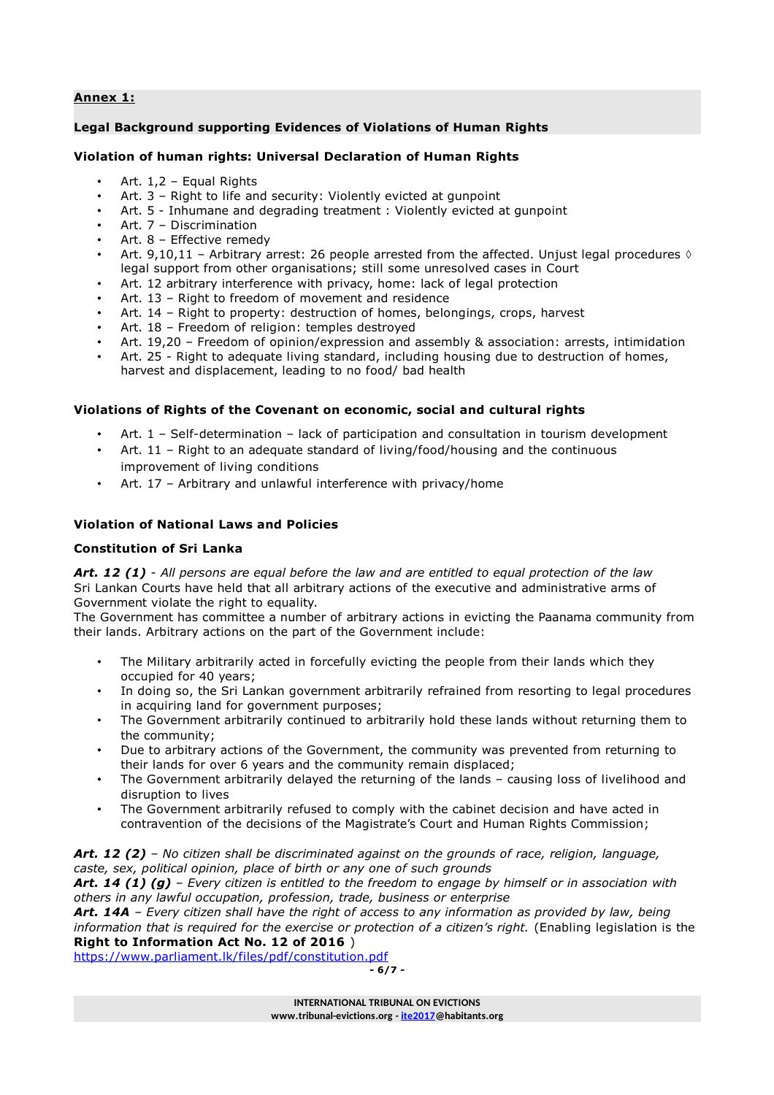## **Annex 1:**

## **Legal Background supporting Evidences of Violations of Human Rights**

#### **Violation of human rights: Universal Declaration of Human Rights**

- Art. 1,2 Equal Rights
- Art. 3 Right to life and security: Violently evicted at gunpoint
- Art. 5 Inhumane and degrading treatment : Violently evicted at gunpoint
- Art. 7 Discrimination
- Art. 8 Effective remedy
- Art. 9,10,11 Arbitrary arrest: 26 people arrested from the affected. Unjust legal procedures  $\Diamond$ legal support from other organisations; still some unresolved cases in Court
- Art. 12 arbitrary interference with privacy, home: lack of legal protection
- Art. 13 Right to freedom of movement and residence
- Art. 14 Right to property: destruction of homes, belongings, crops, harvest
- Art. 18 Freedom of religion: temples destroyed
- Art. 19,20 Freedom of opinion/expression and assembly & association: arrests, intimidation
- Art. 25 Right to adequate living standard, including housing due to destruction of homes, harvest and displacement, leading to no food/ bad health

## **Violations of Rights of the Covenant on economic, social and cultural rights**

- Art. 1 Self-determination lack of participation and consultation in tourism development
- Art. 11 Right to an adequate standard of living/food/housing and the continuous improvement of living conditions
- Art. 17 Arbitrary and unlawful interference with privacy/home

## **Violation of National Laws and Policies**

#### **Constitution of Sri Lanka**

*Art. 12 (1) - All persons are equal before the law and are entitled to equal protection of the law* Sri Lankan Courts have held that all arbitrary actions of the executive and administrative arms of Government violate the right to equality.

The Government has committee a number of arbitrary actions in evicting the Paanama community from their lands. Arbitrary actions on the part of the Government include:

- The Military arbitrarily acted in forcefully evicting the people from their lands which they occupied for 40 years;
- In doing so, the Sri Lankan government arbitrarily refrained from resorting to legal procedures in acquiring land for government purposes;
- The Government arbitrarily continued to arbitrarily hold these lands without returning them to the community;
- Due to arbitrary actions of the Government, the community was prevented from returning to their lands for over 6 years and the community remain displaced;
- The Government arbitrarily delayed the returning of the lands causing loss of livelihood and disruption to lives
- The Government arbitrarily refused to comply with the cabinet decision and have acted in contravention of the decisions of the Magistrate's Court and Human Rights Commission;

#### *Art. 12 (2) – No citizen shall be discriminated against on the grounds of race, religion, language, caste, sex, political opinion, place of birth or any one of such grounds*

*Art. 14 (1) (g) – Every citizen is entitled to the freedom to engage by himself or in association with others in any lawful occupation, profession, trade, business or enterprise*

*Art. 14A – Every citizen shall have the right of access to any information as provided by law, being information that is required for the exercise or protection of a citizen's right.* (Enabling legislation is the **Right to Information Act No. 12 of 2016** )

<https://www.parliament.lk/files/pdf/constitution.pdf>

$$
-6/7-
$$